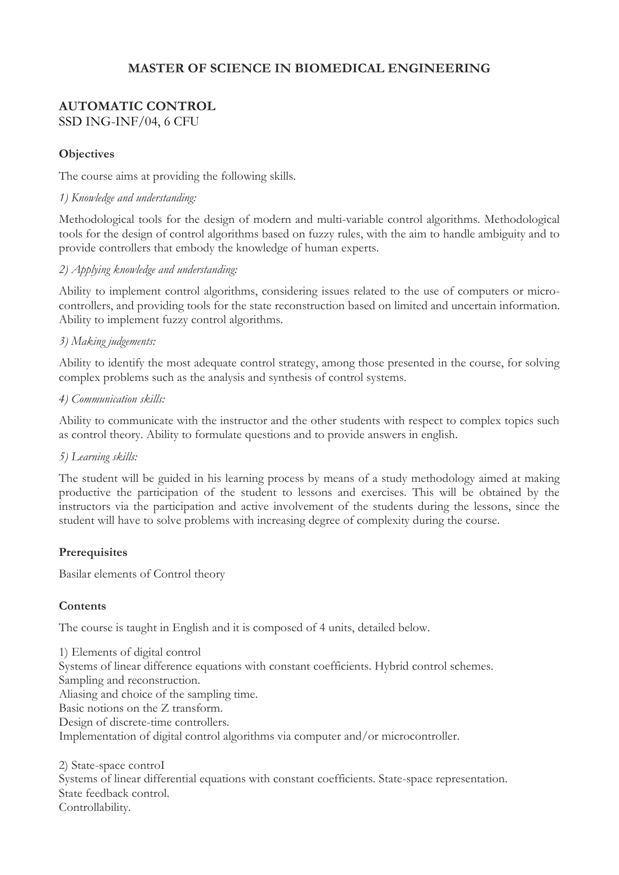# **MASTER OF SCIENCE IN BIOMEDICAL ENGINEERING**

## **AUTOMATIC CONTROL**  SSD ING-INF/04, 6 CFU

## **Objectives**

The course aims at providing the following skills.

#### *1) Knowledge and understanding:*

Methodological tools for the design of modern and multi-variable control algorithms. Methodological tools for the design of control algorithms based on fuzzy rules, with the aim to handle ambiguity and to provide controllers that embody the knowledge of human experts.

## *2) Applying knowledge and understanding:*

Ability to implement control algorithms, considering issues related to the use of computers or microcontrollers, and providing tools for the state reconstruction based on limited and uncertain information. Ability to implement fuzzy control algorithms.

## *3) Making judgements:*

Ability to identify the most adequate control strategy, among those presented in the course, for solving complex problems such as the analysis and synthesis of control systems.

#### *4) Communication skills:*

Ability to communicate with the instructor and the other students with respect to complex topics such as control theory. Ability to formulate questions and to provide answers in english.

#### *5) Learning skills:*

The student will be guided in his learning process by means of a study methodology aimed at making productive the participation of the student to lessons and exercises. This will be obtained by the instructors via the participation and active involvement of the students during the lessons, since the student will have to solve problems with increasing degree of complexity during the course.

#### **Prerequisites**

Basilar elements of Control theory

#### **Contents**

The course is taught in English and it is composed of 4 units, detailed below.

1) Elements of digital control Systems of linear difference equations with constant coefficients. Hybrid control schemes. Sampling and reconstruction. Aliasing and choice of the sampling time. Basic notions on the Z transform. Design of discrete-time controllers. Implementation of digital control algorithms via computer and/or microcontroller.

2) State-space controI Systems of linear differential equations with constant coefficients. State-space representation. State feedback control. Controllability.